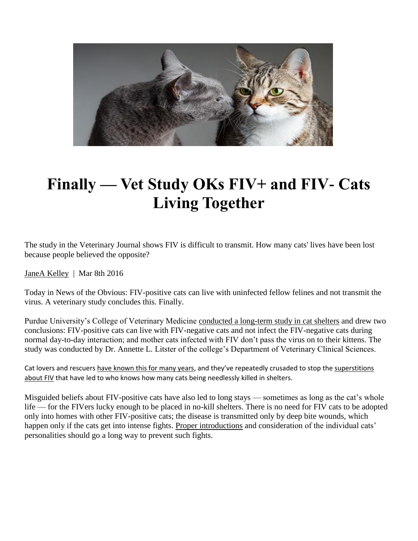

# **Finally — Vet Study OKs FIV+ and FIV- Cats Living Together**

The study in the Veterinary Journal shows FIV is difficult to transmit. How many cats' lives have been lost because people believed the opposite?

[JaneA Kelley](about:blank) | Mar 8th 2016

Today in News of the Obvious: FIV-positive cats can live with uninfected fellow felines and not transmit the virus. A veterinary study concludes this. Finally.

Purdue University's College of Veterinary Medicine [conducted a long-term study in cat shelters](about:blank) and drew two conclusions: FIV-positive cats can live with FIV-negative cats and not infect the FIV-negative cats during normal day-to-day interaction; and mother cats infected with FIV don't pass the virus on to their kittens. The study was conducted by Dr. Annette L. Litster of the college's Department of Veterinary Clinical Sciences.

Cat lovers and rescuers [have known this for many years](about:blank), and they've repeatedly crusaded to stop the [superstitions](about:blank)  [about FIV](about:blank) that have led to who knows how many cats being needlessly killed in shelters.

Misguided beliefs about FIV-positive cats have also led to long stays — sometimes as long as the cat's whole life — for the FIVers lucky enough to be placed in no-kill shelters. There is no need for FIV cats to be adopted only into homes with other FIV-positive cats; the disease is transmitted only by deep bite wounds, which happen only if the cats get into intense fights. [Proper introductions](about:blank) and consideration of the individual cats' personalities should go a long way to prevent such fights.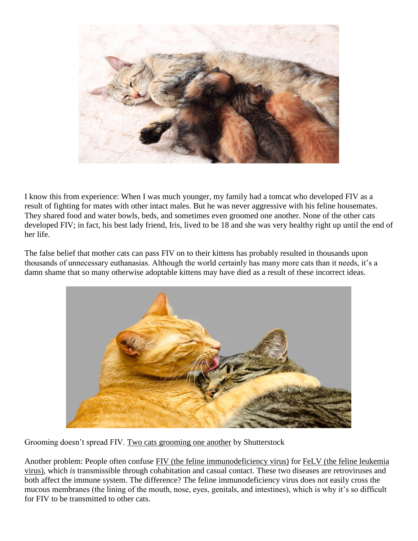

I know this from experience: When I was much younger, my family had a tomcat who developed FIV as a result of fighting for mates with other intact males. But he was never aggressive with his feline housemates. They shared food and water bowls, beds, and sometimes even groomed one another. None of the other cats developed FIV; in fact, his best lady friend, Iris, lived to be 18 and she was very healthy right up until the end of her life.

The false belief that mother cats can pass FIV on to their kittens has probably resulted in thousands upon thousands of unnecessary euthanasias. Although the world certainly has many more cats than it needs, it's a damn shame that so many otherwise adoptable kittens may have died as a result of these incorrect ideas.



Grooming doesn't spread FIV. [Two cats grooming one another](about:blank) by Shutterstock

Another problem: People often confuse [FIV \(the feline immunodeficiency virus\)](about:blank) for FeLV (the feline leukemia virus), which *is* transmissible through cohabitation and casual contact. These two diseases are retroviruses and both affect the immune system. The difference? The feline immunodeficiency virus does not easily cross the mucous membranes (the lining of the mouth, nose, eyes, genitals, and intestines), which is why it's so difficult for FIV to be transmitted to other cats.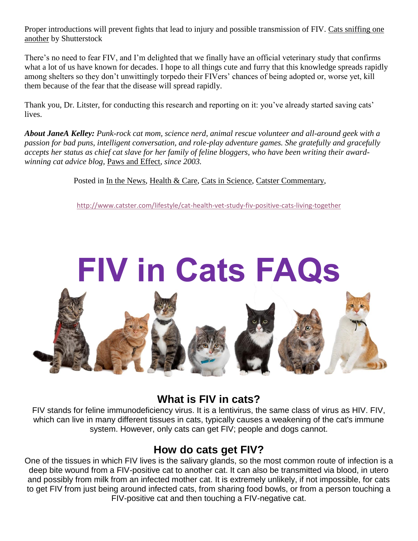Proper introductions will prevent fights that lead to injury and possible transmission of FIV. [Cats sniffing one](about:blank)  [another](about:blank) by Shutterstock

There's no need to fear FIV, and I'm delighted that we finally have an official veterinary study that confirms what a lot of us have known for decades. I hope to all things cute and furry that this knowledge spreads rapidly among shelters so they don't unwittingly torpedo their FIVers' chances of being adopted or, worse yet, kill them because of the fear that the disease will spread rapidly.

Thank you, Dr. Litster, for conducting this research and reporting on it: you've already started saving cats' lives.

*About JaneA Kelley: Punk-rock cat mom, science nerd, animal rescue volunteer and all-around geek with a passion for bad puns, intelligent conversation, and role-play adventure games. She gratefully and gracefully accepts her status as chief cat slave for her family of feline bloggers, who have been writing their awardwinning cat advice blog,* [Paws and Effect](about:blank)*, since 2003.*

#### Posted in [In the News, Health & Care, Cats in Science, Catster Commentary,](about:blank)

[http://www.catster.com/lifestyle/cat-health-vet-study-fiv-positive-cats-living-together](about:blank)



#### **What is FIV in cats?**

FIV stands for feline immunodeficiency virus. It is a lentivirus, the same class of virus as HIV. FIV, which can live in many different tissues in cats, typically causes a weakening of the cat's immune system. However, only cats can get FIV; people and dogs cannot.

#### **How do cats get FIV?**

One of the tissues in which FIV lives is the salivary glands, so the most common route of infection is a deep bite wound from a FIV-positive cat to another cat. It can also be transmitted via blood, in utero and possibly from milk from an infected mother cat. It is extremely unlikely, if not impossible, for cats to get FIV from just being around infected cats, from sharing food bowls, or from a person touching a FIV-positive cat and then touching a FIV-negative cat.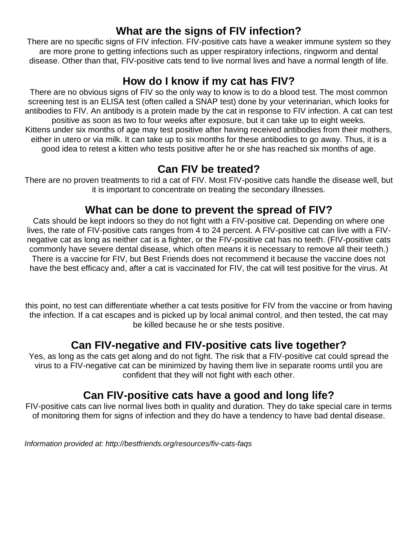### **What are the signs of FIV infection?**

There are no specific signs of FIV infection. FIV-positive cats have a weaker immune system so they are more prone to getting infections such as upper respiratory infections, ringworm and dental disease. Other than that, FIV-positive cats tend to live normal lives and have a normal length of life.

# **How do I know if my cat has FIV?**

There are no obvious signs of FIV so the only way to know is to do a blood test. The most common screening test is an ELISA test (often called a SNAP test) done by your veterinarian, which looks for antibodies to FIV. An antibody is a protein made by the cat in response to FIV infection. A cat can test positive as soon as two to four weeks after exposure, but it can take up to eight weeks. Kittens under six months of age may test positive after having received antibodies from their mothers, either in utero or via milk. It can take up to six months for these antibodies to go away. Thus, it is a good idea to retest a kitten who tests positive after he or she has reached six months of age.

### **Can FIV be treated?**

There are no proven treatments to rid a cat of FIV. Most FIV-positive cats handle the disease well, but it is important to concentrate on treating the secondary illnesses.

# **What can be done to prevent the spread of FIV?**

Cats should be kept indoors so they do not fight with a FIV-positive cat. Depending on where one lives, the rate of FIV-positive cats ranges from 4 to 24 percent. A FIV-positive cat can live with a FIVnegative cat as long as neither cat is a fighter, or the FIV-positive cat has no teeth. (FIV-positive cats commonly have severe dental disease, which often means it is necessary to remove all their teeth.) There is a vaccine for FIV, but Best Friends does not recommend it because the vaccine does not have the best efficacy and, after a cat is vaccinated for FIV, the cat will test positive for the virus. At

this point, no test can differentiate whether a cat tests positive for FIV from the vaccine or from having the infection. If a cat escapes and is picked up by local animal control, and then tested, the cat may be killed because he or she tests positive.

# **Can FIV-negative and FIV-positive cats live together?**

Yes, as long as the cats get along and do not fight. The risk that a FIV-positive cat could spread the virus to a FIV-negative cat can be minimized by having them live in separate rooms until you are confident that they will not fight with each other.

# **Can FIV-positive cats have a good and long life?**

FIV-positive cats can live normal lives both in quality and duration. They do take special care in terms of monitoring them for signs of infection and they do have a tendency to have bad dental disease.

*Information provided at: http://bestfriends.org/resources/fiv-cats-faqs*